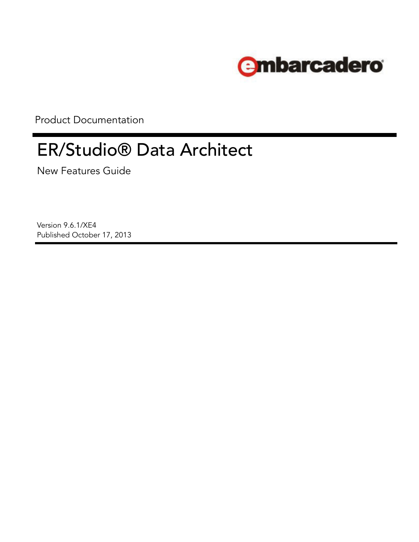

Product Documentation

# ER/Studio® Data Architect

New Features Guide

Version 9.6.1/XE4 Published October 17, 2013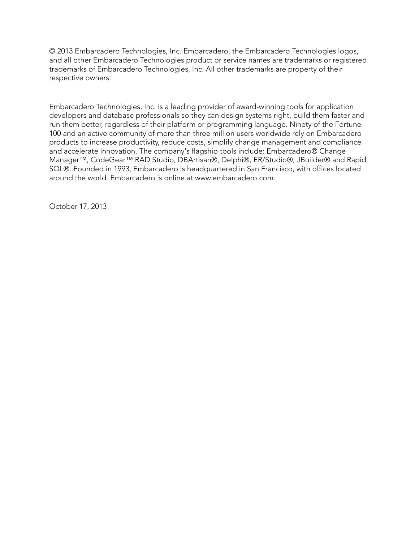© 2013 Embarcadero Technologies, Inc. Embarcadero, the Embarcadero Technologies logos, and all other Embarcadero Technologies product or service names are trademarks or registered trademarks of Embarcadero Technologies, Inc. All other trademarks are property of their respective owners.

Embarcadero Technologies, Inc. is a leading provider of award-winning tools for application developers and database professionals so they can design systems right, build them faster and run them better, regardless of their platform or programming language. Ninety of the Fortune 100 and an active community of more than three million users worldwide rely on Embarcadero products to increase productivity, reduce costs, simplify change management and compliance and accelerate innovation. The company's flagship tools include: Embarcadero® Change Manager™, CodeGear™ RAD Studio, DBArtisan®, Delphi®, ER/Studio®, JBuilder® and Rapid SQL®. Founded in 1993, Embarcadero is headquartered in San Francisco, with offices located around the world. Embarcadero is online at www.embarcadero.com.

October 17, 2013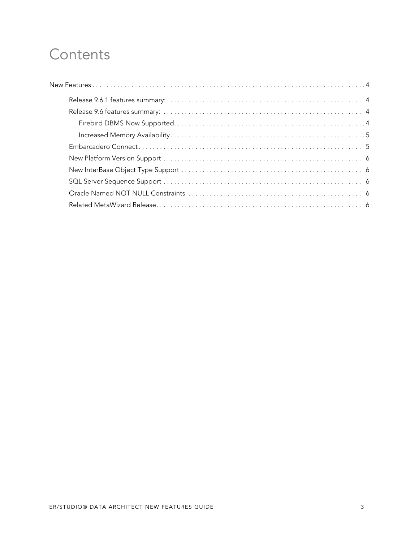# **Contents**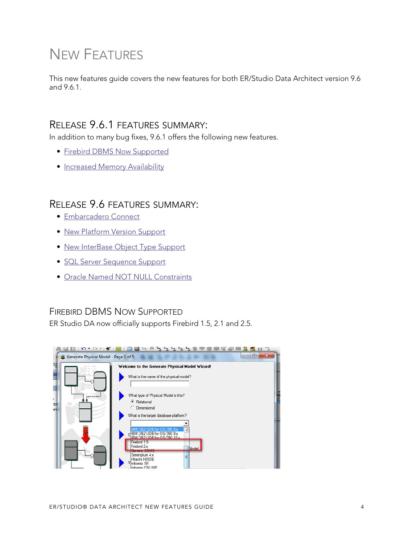# <span id="page-3-0"></span>NEW FEATURES

This new features guide covers the new features for both ER/Studio Data Architect version 9.6 and 9.6.1.

### <span id="page-3-1"></span>RELEASE 9.6.1 FEATURES SUMMARY:

In addition to many bug fixes, 9.6.1 offers the following new features.

- [Firebird DBMS Now Supported](#page-3-3)
- [Increased Memory Availability](#page-4-0)

## <span id="page-3-2"></span>RELEASE 9.6 FEATURES SUMMARY:

- [Embarcadero Connect](#page-4-1)
- [New Platform Version Support](#page-5-0)
- [New InterBase Object Type Support](#page-5-1)
- [SQL Server Sequence Support](#page-5-2)
- [Oracle Named NOT NULL Constraints](#page-5-3)

#### <span id="page-3-3"></span>FIREBIRD DBMS NOW SUPPORTED

ER Studio DA now officially supports Firebird 1.5, 2.1 and 2.5.

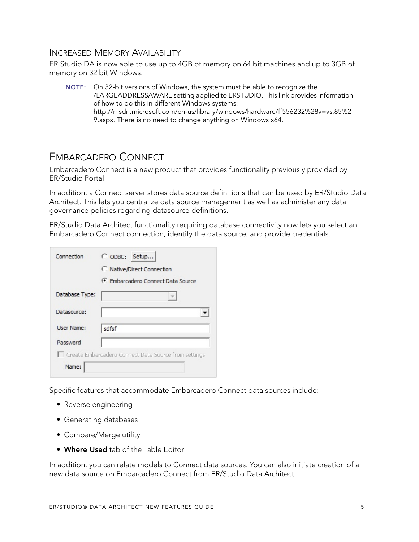#### <span id="page-4-0"></span>INCREASED MEMORY AVAILABILITY

ER Studio DA is now able to use up to 4GB of memory on 64 bit machines and up to 3GB of memory on 32 bit Windows.

**NOTE:** On 32-bit versions of Windows, the system must be able to recognize the [/LARGEADDRESSAWARE setting applied to ERSTUDIO. This link provides information](http://msdn.microsoft.com/en-us/library/windows/hardware/ff556232%28v=vs.85%29.aspx)  of how to do this in different Windows systems: http://msdn.microsoft.com/en-us/library/windows/hardware/ff556232%28v=vs.85%2 9.aspx. There is no need to change anything on Windows x64.

### <span id="page-4-1"></span>EMBARCADERO CONNECT

Embarcadero Connect is a new product that provides functionality previously provided by ER/Studio Portal.

In addition, a Connect server stores data source definitions that can be used by ER/Studio Data Architect. This lets you centralize data source management as well as administer any data governance policies regarding datasource definitions.

ER/Studio Data Architect functionality requiring database connectivity now lets you select an Embarcadero Connect connection, identify the data source, and provide credentials.

| Connection        | C ODBC: Setup                                        |
|-------------------|------------------------------------------------------|
|                   | C Native/Direct Connection                           |
|                   | Fmbarcadero Connect Data Source                      |
| Database Type:    |                                                      |
| Datasource:       |                                                      |
| <b>User Name:</b> | sdfsf                                                |
| Password          |                                                      |
|                   | Create Embarcadero Connect Data Source from settings |
| Name:             |                                                      |

Specific features that accommodate Embarcadero Connect data sources include:

- Reverse engineering
- Generating databases
- Compare/Merge utility
- **Where Used** tab of the Table Editor

In addition, you can relate models to Connect data sources. You can also initiate creation of a new data source on Embarcadero Connect from ER/Studio Data Architect.